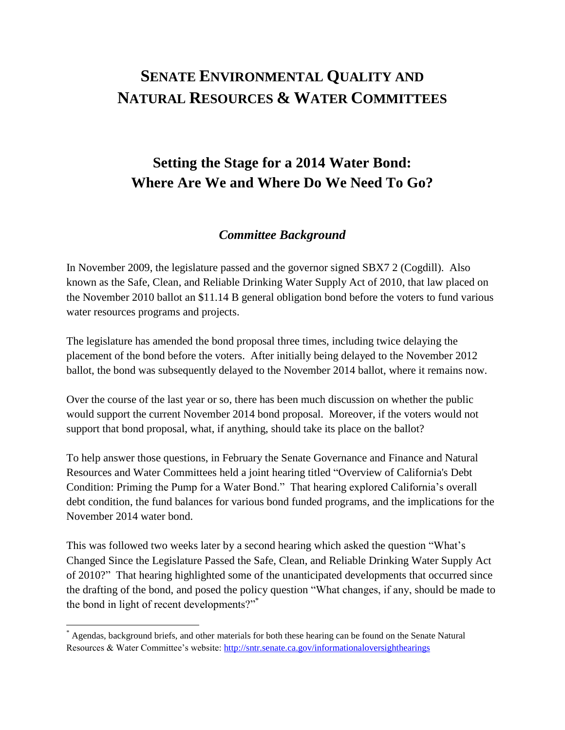# **SENATE ENVIRONMENTAL QUALITY AND NATURAL RESOURCES & WATER COMMITTEES**

# **Setting the Stage for a 2014 Water Bond: Where Are We and Where Do We Need To Go?**

## *Committee Background*

In November 2009, the legislature passed and the governor signed SBX7 2 (Cogdill). Also known as the Safe, Clean, and Reliable Drinking Water Supply Act of 2010, that law placed on the November 2010 ballot an \$11.14 B general obligation bond before the voters to fund various water resources programs and projects.

The legislature has amended the bond proposal three times, including twice delaying the placement of the bond before the voters. After initially being delayed to the November 2012 ballot, the bond was subsequently delayed to the November 2014 ballot, where it remains now.

Over the course of the last year or so, there has been much discussion on whether the public would support the current November 2014 bond proposal. Moreover, if the voters would not support that bond proposal, what, if anything, should take its place on the ballot?

To help answer those questions, in February the Senate Governance and Finance and Natural Resources and Water Committees held a joint hearing titled "Overview of California's Debt Condition: Priming the Pump for a Water Bond." That hearing explored California's overall debt condition, the fund balances for various bond funded programs, and the implications for the November 2014 water bond.

This was followed two weeks later by a second hearing which asked the question "What's Changed Since the Legislature Passed the Safe, Clean, and Reliable Drinking Water Supply Act of 2010?" That hearing highlighted some of the unanticipated developments that occurred since the drafting of the bond, and posed the policy question "What changes, if any, should be made to the bond in light of recent developments?"\*

 $\overline{a}$ 

<sup>\*</sup> Agendas, background briefs, and other materials for both these hearing can be found on the Senate Natural Resources & Water Committee's website:<http://sntr.senate.ca.gov/informationaloversighthearings>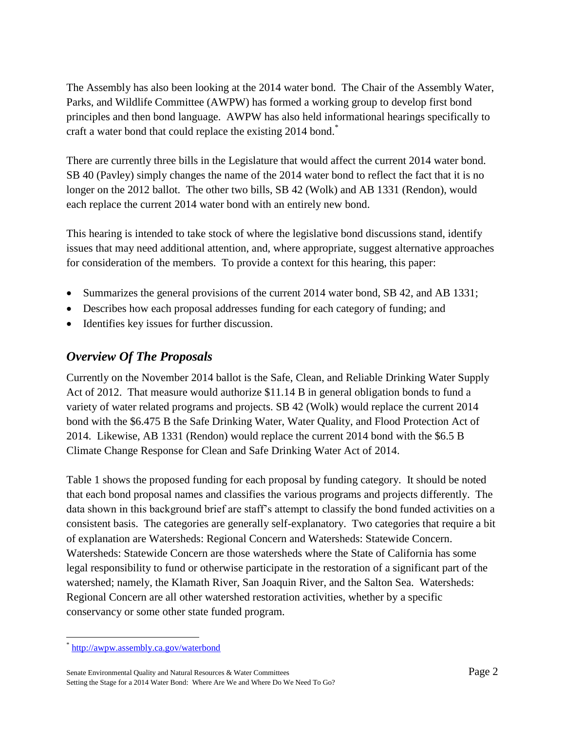The Assembly has also been looking at the 2014 water bond. The Chair of the Assembly Water, Parks, and Wildlife Committee (AWPW) has formed a working group to develop first bond principles and then bond language. AWPW has also held informational hearings specifically to craft a water bond that could replace the existing 2014 bond.<sup>\*</sup>

There are currently three bills in the Legislature that would affect the current 2014 water bond. SB 40 (Pavley) simply changes the name of the 2014 water bond to reflect the fact that it is no longer on the 2012 ballot. The other two bills, SB 42 (Wolk) and AB 1331 (Rendon), would each replace the current 2014 water bond with an entirely new bond.

This hearing is intended to take stock of where the legislative bond discussions stand, identify issues that may need additional attention, and, where appropriate, suggest alternative approaches for consideration of the members. To provide a context for this hearing, this paper:

- Summarizes the general provisions of the current 2014 water bond, SB 42, and AB 1331;
- Describes how each proposal addresses funding for each category of funding; and
- Identifies key issues for further discussion.

## *Overview Of The Proposals*

Currently on the November 2014 ballot is the Safe, Clean, and Reliable Drinking Water Supply Act of 2012. That measure would authorize \$11.14 B in general obligation bonds to fund a variety of water related programs and projects. SB 42 (Wolk) would replace the current 2014 bond with the \$6.475 B the Safe Drinking Water, Water Quality, and Flood Protection Act of 2014. Likewise, AB 1331 (Rendon) would replace the current 2014 bond with the \$6.5 B Climate Change Response for Clean and Safe Drinking Water Act of 2014.

Table 1 shows the proposed funding for each proposal by funding category. It should be noted that each bond proposal names and classifies the various programs and projects differently. The data shown in this background brief are staff's attempt to classify the bond funded activities on a consistent basis. The categories are generally self-explanatory. Two categories that require a bit of explanation are Watersheds: Regional Concern and Watersheds: Statewide Concern. Watersheds: Statewide Concern are those watersheds where the State of California has some legal responsibility to fund or otherwise participate in the restoration of a significant part of the watershed; namely, the Klamath River, San Joaquin River, and the Salton Sea. Watersheds: Regional Concern are all other watershed restoration activities, whether by a specific conservancy or some other state funded program.

 $\overline{\phantom{a}}$ \* <http://awpw.assembly.ca.gov/waterbond>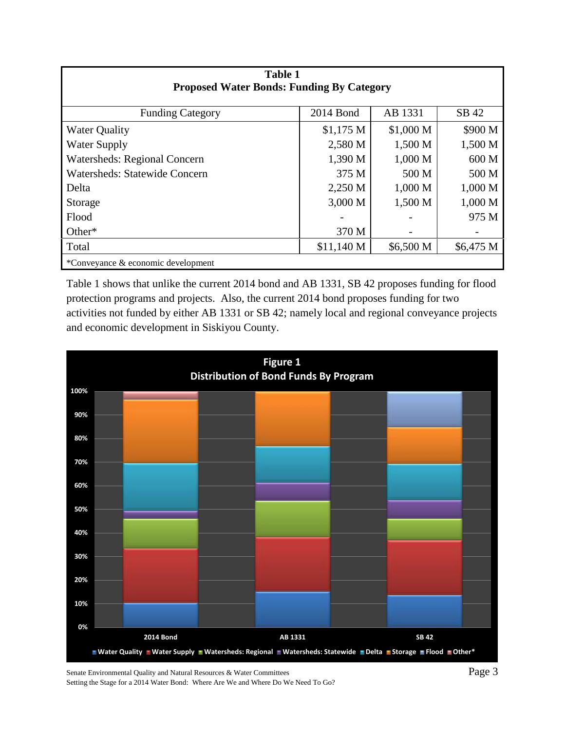| <b>Table 1</b><br><b>Proposed Water Bonds: Funding By Category</b> |            |           |            |
|--------------------------------------------------------------------|------------|-----------|------------|
| <b>Funding Category</b>                                            | 2014 Bond  | AB 1331   | SB 42      |
| <b>Water Quality</b>                                               | $$1,175$ M | \$1,000 M | \$900 M    |
| <b>Water Supply</b>                                                | 2,580 M    | 1,500 M   | 1,500 M    |
| <b>Watersheds: Regional Concern</b>                                | 1,390 M    | 1,000 M   | 600 M      |
| <b>Watersheds: Statewide Concern</b>                               | 375 M      | 500 M     | 500 M      |
| Delta                                                              | 2,250 M    | 1,000 M   | 1,000 M    |
| Storage                                                            | 3,000 M    | 1,500 M   | 1,000 M    |
| Flood                                                              |            |           | 975 M      |
| Other*                                                             | 370 M      |           |            |
| Total                                                              | \$11,140 M | \$6,500 M | $$6,475$ M |
| *Conveyance & economic development                                 |            |           |            |

Table 1 shows that unlike the current 2014 bond and AB 1331, SB 42 proposes funding for flood protection programs and projects. Also, the current 2014 bond proposes funding for two activities not funded by either AB 1331 or SB 42; namely local and regional conveyance projects and economic development in Siskiyou County.



Senate Environmental Quality and Natural Resources & Water Committees Page 3 Setting the Stage for a 2014 Water Bond: Where Are We and Where Do We Need To Go?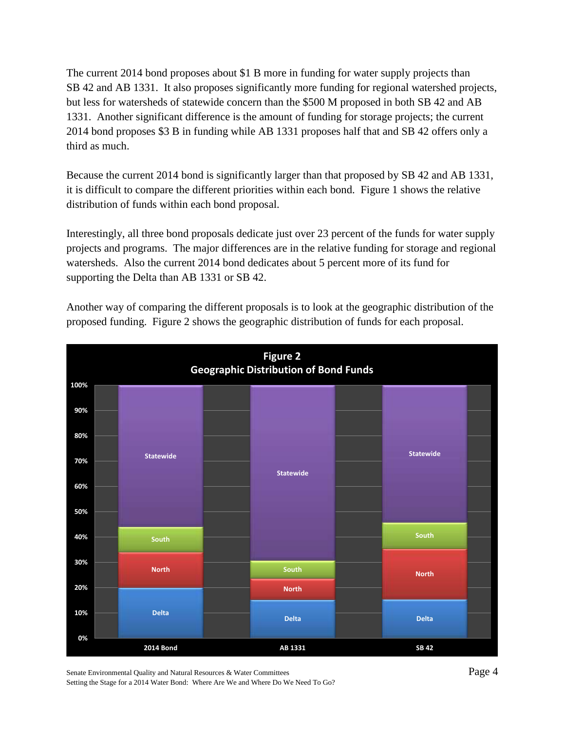The current 2014 bond proposes about \$1 B more in funding for water supply projects than SB 42 and AB 1331. It also proposes significantly more funding for regional watershed projects, but less for watersheds of statewide concern than the \$500 M proposed in both SB 42 and AB 1331. Another significant difference is the amount of funding for storage projects; the current 2014 bond proposes \$3 B in funding while AB 1331 proposes half that and SB 42 offers only a third as much.

Because the current 2014 bond is significantly larger than that proposed by SB 42 and AB 1331, it is difficult to compare the different priorities within each bond. Figure 1 shows the relative distribution of funds within each bond proposal.

Interestingly, all three bond proposals dedicate just over 23 percent of the funds for water supply projects and programs. The major differences are in the relative funding for storage and regional watersheds. Also the current 2014 bond dedicates about 5 percent more of its fund for supporting the Delta than AB 1331 or SB 42.

Another way of comparing the different proposals is to look at the geographic distribution of the proposed funding. Figure 2 shows the geographic distribution of funds for each proposal.



Senate Environmental Quality and Natural Resources & Water Committees Page 4 Setting the Stage for a 2014 Water Bond: Where Are We and Where Do We Need To Go?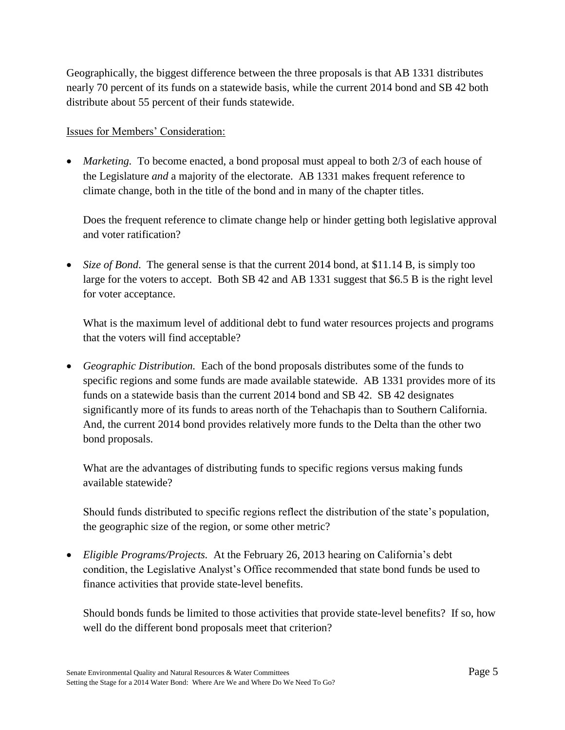Geographically, the biggest difference between the three proposals is that AB 1331 distributes nearly 70 percent of its funds on a statewide basis, while the current 2014 bond and SB 42 both distribute about 55 percent of their funds statewide.

#### Issues for Members' Consideration:

• *Marketing.* To become enacted, a bond proposal must appeal to both 2/3 of each house of the Legislature *and* a majority of the electorate. AB 1331 makes frequent reference to climate change, both in the title of the bond and in many of the chapter titles.

Does the frequent reference to climate change help or hinder getting both legislative approval and voter ratification?

 *Size of Bond*. The general sense is that the current 2014 bond, at \$11.14 B, is simply too large for the voters to accept. Both SB 42 and AB 1331 suggest that \$6.5 B is the right level for voter acceptance.

What is the maximum level of additional debt to fund water resources projects and programs that the voters will find acceptable?

 *Geographic Distribution.* Each of the bond proposals distributes some of the funds to specific regions and some funds are made available statewide. AB 1331 provides more of its funds on a statewide basis than the current 2014 bond and SB 42. SB 42 designates significantly more of its funds to areas north of the Tehachapis than to Southern California. And, the current 2014 bond provides relatively more funds to the Delta than the other two bond proposals.

What are the advantages of distributing funds to specific regions versus making funds available statewide?

Should funds distributed to specific regions reflect the distribution of the state's population, the geographic size of the region, or some other metric?

 *Eligible Programs/Projects.* At the February 26, 2013 hearing on California's debt condition, the Legislative Analyst's Office recommended that state bond funds be used to finance activities that provide state-level benefits.

Should bonds funds be limited to those activities that provide state-level benefits? If so, how well do the different bond proposals meet that criterion?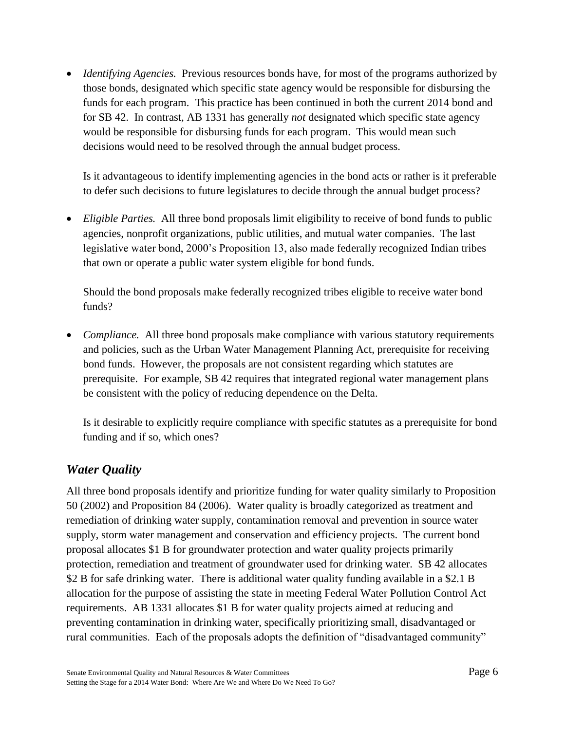• *Identifying Agencies.* Previous resources bonds have, for most of the programs authorized by those bonds, designated which specific state agency would be responsible for disbursing the funds for each program. This practice has been continued in both the current 2014 bond and for SB 42. In contrast, AB 1331 has generally *not* designated which specific state agency would be responsible for disbursing funds for each program. This would mean such decisions would need to be resolved through the annual budget process.

Is it advantageous to identify implementing agencies in the bond acts or rather is it preferable to defer such decisions to future legislatures to decide through the annual budget process?

 *Eligible Parties.* All three bond proposals limit eligibility to receive of bond funds to public agencies, nonprofit organizations, public utilities, and mutual water companies. The last legislative water bond, 2000's Proposition 13, also made federally recognized Indian tribes that own or operate a public water system eligible for bond funds.

Should the bond proposals make federally recognized tribes eligible to receive water bond funds?

 *Compliance.* All three bond proposals make compliance with various statutory requirements and policies, such as the Urban Water Management Planning Act, prerequisite for receiving bond funds. However, the proposals are not consistent regarding which statutes are prerequisite. For example, SB 42 requires that integrated regional water management plans be consistent with the policy of reducing dependence on the Delta.

Is it desirable to explicitly require compliance with specific statutes as a prerequisite for bond funding and if so, which ones?

# *Water Quality*

All three bond proposals identify and prioritize funding for water quality similarly to Proposition 50 (2002) and Proposition 84 (2006). Water quality is broadly categorized as treatment and remediation of drinking water supply, contamination removal and prevention in source water supply, storm water management and conservation and efficiency projects. The current bond proposal allocates \$1 B for groundwater protection and water quality projects primarily protection, remediation and treatment of groundwater used for drinking water. SB 42 allocates \$2 B for safe drinking water. There is additional water quality funding available in a \$2.1 B allocation for the purpose of assisting the state in meeting Federal Water Pollution Control Act requirements. AB 1331 allocates \$1 B for water quality projects aimed at reducing and preventing contamination in drinking water, specifically prioritizing small, disadvantaged or rural communities. Each of the proposals adopts the definition of "disadvantaged community"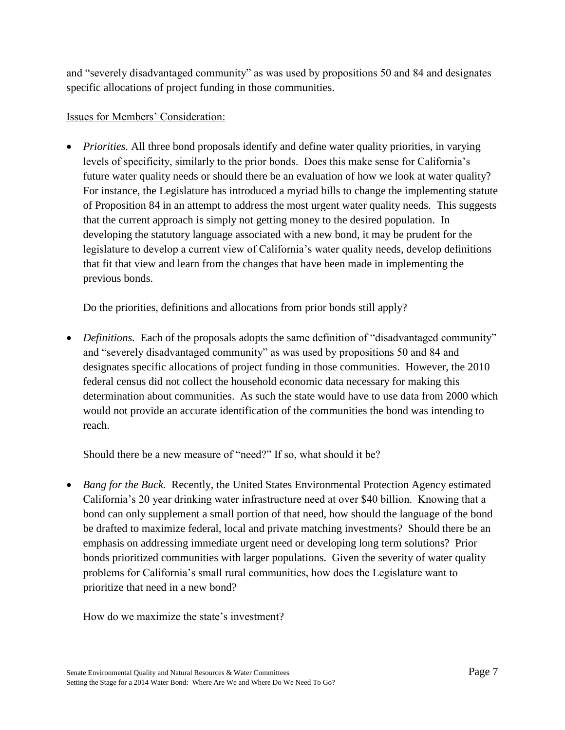and "severely disadvantaged community" as was used by propositions 50 and 84 and designates specific allocations of project funding in those communities.

#### Issues for Members' Consideration:

 *Priorities.* All three bond proposals identify and define water quality priorities, in varying levels of specificity, similarly to the prior bonds. Does this make sense for California's future water quality needs or should there be an evaluation of how we look at water quality? For instance, the Legislature has introduced a myriad bills to change the implementing statute of Proposition 84 in an attempt to address the most urgent water quality needs. This suggests that the current approach is simply not getting money to the desired population. In developing the statutory language associated with a new bond, it may be prudent for the legislature to develop a current view of California's water quality needs, develop definitions that fit that view and learn from the changes that have been made in implementing the previous bonds.

Do the priorities, definitions and allocations from prior bonds still apply?

 *Definitions.* Each of the proposals adopts the same definition of "disadvantaged community" and "severely disadvantaged community" as was used by propositions 50 and 84 and designates specific allocations of project funding in those communities. However, the 2010 federal census did not collect the household economic data necessary for making this determination about communities. As such the state would have to use data from 2000 which would not provide an accurate identification of the communities the bond was intending to reach.

Should there be a new measure of "need?" If so, what should it be?

• *Bang for the Buck.* Recently, the United States Environmental Protection Agency estimated California's 20 year drinking water infrastructure need at over \$40 billion. Knowing that a bond can only supplement a small portion of that need, how should the language of the bond be drafted to maximize federal, local and private matching investments? Should there be an emphasis on addressing immediate urgent need or developing long term solutions? Prior bonds prioritized communities with larger populations. Given the severity of water quality problems for California's small rural communities, how does the Legislature want to prioritize that need in a new bond?

How do we maximize the state's investment?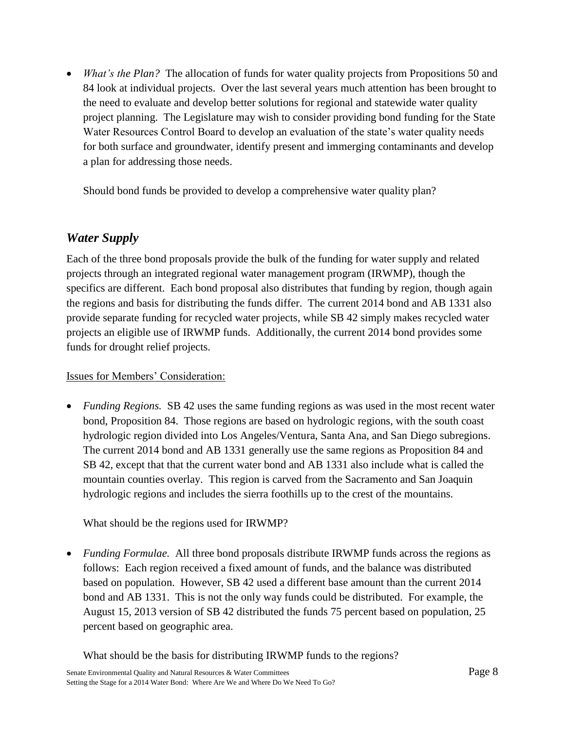• *What's the Plan?* The allocation of funds for water quality projects from Propositions 50 and 84 look at individual projects. Over the last several years much attention has been brought to the need to evaluate and develop better solutions for regional and statewide water quality project planning. The Legislature may wish to consider providing bond funding for the State Water Resources Control Board to develop an evaluation of the state's water quality needs for both surface and groundwater, identify present and immerging contaminants and develop a plan for addressing those needs.

Should bond funds be provided to develop a comprehensive water quality plan?

# *Water Supply*

Each of the three bond proposals provide the bulk of the funding for water supply and related projects through an integrated regional water management program (IRWMP), though the specifics are different. Each bond proposal also distributes that funding by region, though again the regions and basis for distributing the funds differ. The current 2014 bond and AB 1331 also provide separate funding for recycled water projects, while SB 42 simply makes recycled water projects an eligible use of IRWMP funds. Additionally, the current 2014 bond provides some funds for drought relief projects.

#### Issues for Members' Consideration:

 *Funding Regions.* SB 42 uses the same funding regions as was used in the most recent water bond, Proposition 84. Those regions are based on hydrologic regions, with the south coast hydrologic region divided into Los Angeles/Ventura, Santa Ana, and San Diego subregions. The current 2014 bond and AB 1331 generally use the same regions as Proposition 84 and SB 42, except that that the current water bond and AB 1331 also include what is called the mountain counties overlay. This region is carved from the Sacramento and San Joaquin hydrologic regions and includes the sierra foothills up to the crest of the mountains.

What should be the regions used for IRWMP?

 *Funding Formulae.* All three bond proposals distribute IRWMP funds across the regions as follows: Each region received a fixed amount of funds, and the balance was distributed based on population. However, SB 42 used a different base amount than the current 2014 bond and AB 1331. This is not the only way funds could be distributed. For example, the August 15, 2013 version of SB 42 distributed the funds 75 percent based on population, 25 percent based on geographic area.

What should be the basis for distributing IRWMP funds to the regions?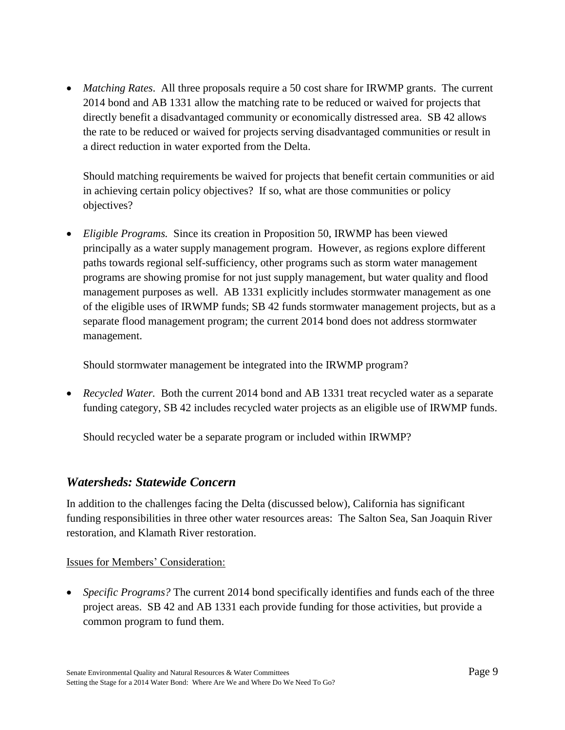*Matching Rates*. All three proposals require a 50 cost share for IRWMP grants. The current 2014 bond and AB 1331 allow the matching rate to be reduced or waived for projects that directly benefit a disadvantaged community or economically distressed area. SB 42 allows the rate to be reduced or waived for projects serving disadvantaged communities or result in a direct reduction in water exported from the Delta.

Should matching requirements be waived for projects that benefit certain communities or aid in achieving certain policy objectives? If so, what are those communities or policy objectives?

 *Eligible Programs.* Since its creation in Proposition 50, IRWMP has been viewed principally as a water supply management program. However, as regions explore different paths towards regional self-sufficiency, other programs such as storm water management programs are showing promise for not just supply management, but water quality and flood management purposes as well. AB 1331 explicitly includes stormwater management as one of the eligible uses of IRWMP funds; SB 42 funds stormwater management projects, but as a separate flood management program; the current 2014 bond does not address stormwater management.

Should stormwater management be integrated into the IRWMP program?

 *Recycled Water.* Both the current 2014 bond and AB 1331 treat recycled water as a separate funding category, SB 42 includes recycled water projects as an eligible use of IRWMP funds.

Should recycled water be a separate program or included within IRWMP?

### *Watersheds: Statewide Concern*

In addition to the challenges facing the Delta (discussed below), California has significant funding responsibilities in three other water resources areas: The Salton Sea, San Joaquin River restoration, and Klamath River restoration.

#### Issues for Members' Consideration:

 *Specific Programs?* The current 2014 bond specifically identifies and funds each of the three project areas. SB 42 and AB 1331 each provide funding for those activities, but provide a common program to fund them.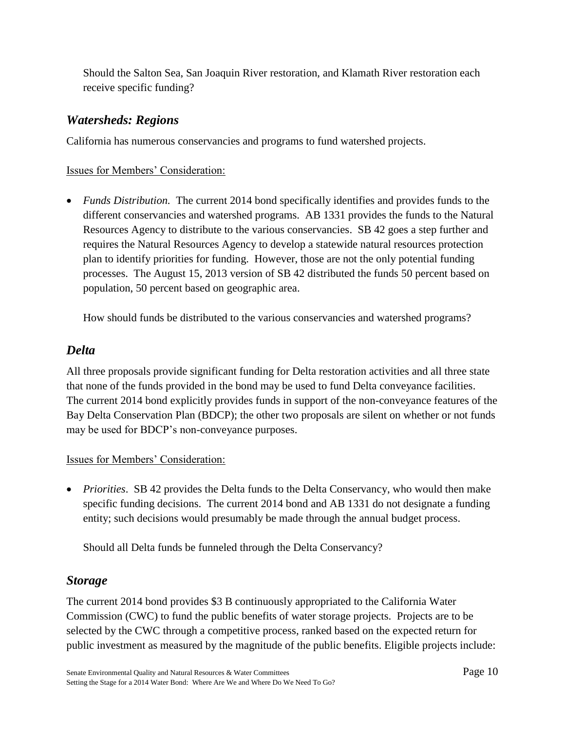Should the Salton Sea, San Joaquin River restoration, and Klamath River restoration each receive specific funding?

# *Watersheds: Regions*

California has numerous conservancies and programs to fund watershed projects.

### Issues for Members' Consideration:

 *Funds Distribution.* The current 2014 bond specifically identifies and provides funds to the different conservancies and watershed programs. AB 1331 provides the funds to the Natural Resources Agency to distribute to the various conservancies. SB 42 goes a step further and requires the Natural Resources Agency to develop a statewide natural resources protection plan to identify priorities for funding. However, those are not the only potential funding processes. The August 15, 2013 version of SB 42 distributed the funds 50 percent based on population, 50 percent based on geographic area.

How should funds be distributed to the various conservancies and watershed programs?

## *Delta*

All three proposals provide significant funding for Delta restoration activities and all three state that none of the funds provided in the bond may be used to fund Delta conveyance facilities. The current 2014 bond explicitly provides funds in support of the non-conveyance features of the Bay Delta Conservation Plan (BDCP); the other two proposals are silent on whether or not funds may be used for BDCP's non-conveyance purposes.

### Issues for Members' Consideration:

 *Priorities*. SB 42 provides the Delta funds to the Delta Conservancy, who would then make specific funding decisions. The current 2014 bond and AB 1331 do not designate a funding entity; such decisions would presumably be made through the annual budget process.

Should all Delta funds be funneled through the Delta Conservancy?

# *Storage*

The current 2014 bond provides \$3 B continuously appropriated to the California Water Commission (CWC) to fund the public benefits of water storage projects. Projects are to be selected by the CWC through a competitive process, ranked based on the expected return for public investment as measured by the magnitude of the public benefits. Eligible projects include: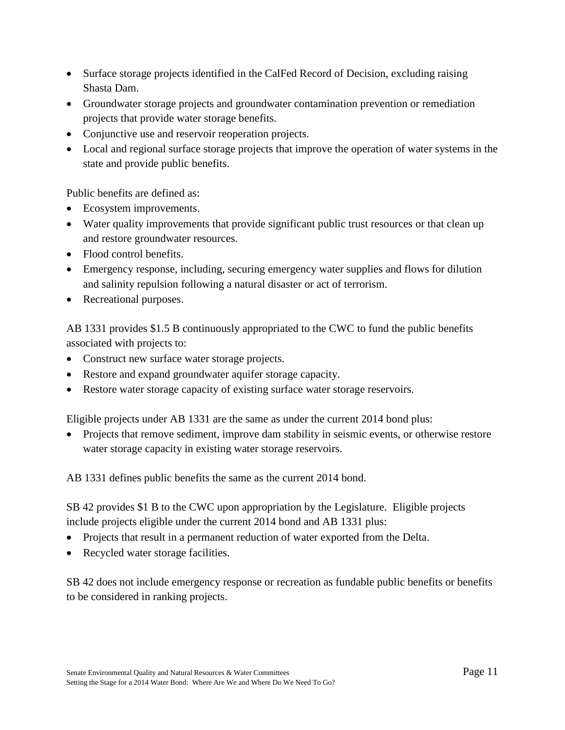- Surface storage projects identified in the CalFed Record of Decision, excluding raising Shasta Dam.
- Groundwater storage projects and groundwater contamination prevention or remediation projects that provide water storage benefits.
- Conjunctive use and reservoir reoperation projects.
- Local and regional surface storage projects that improve the operation of water systems in the state and provide public benefits.

Public benefits are defined as:

- Ecosystem improvements.
- Water quality improvements that provide significant public trust resources or that clean up and restore groundwater resources.
- Flood control benefits.
- Emergency response, including, securing emergency water supplies and flows for dilution and salinity repulsion following a natural disaster or act of terrorism.
- Recreational purposes.

AB 1331 provides \$1.5 B continuously appropriated to the CWC to fund the public benefits associated with projects to:

- Construct new surface water storage projects.
- Restore and expand groundwater aquifer storage capacity.
- Restore water storage capacity of existing surface water storage reservoirs.

Eligible projects under AB 1331 are the same as under the current 2014 bond plus:

• Projects that remove sediment, improve dam stability in seismic events, or otherwise restore water storage capacity in existing water storage reservoirs.

AB 1331 defines public benefits the same as the current 2014 bond.

SB 42 provides \$1 B to the CWC upon appropriation by the Legislature. Eligible projects include projects eligible under the current 2014 bond and AB 1331 plus:

- Projects that result in a permanent reduction of water exported from the Delta.
- Recycled water storage facilities.

SB 42 does not include emergency response or recreation as fundable public benefits or benefits to be considered in ranking projects.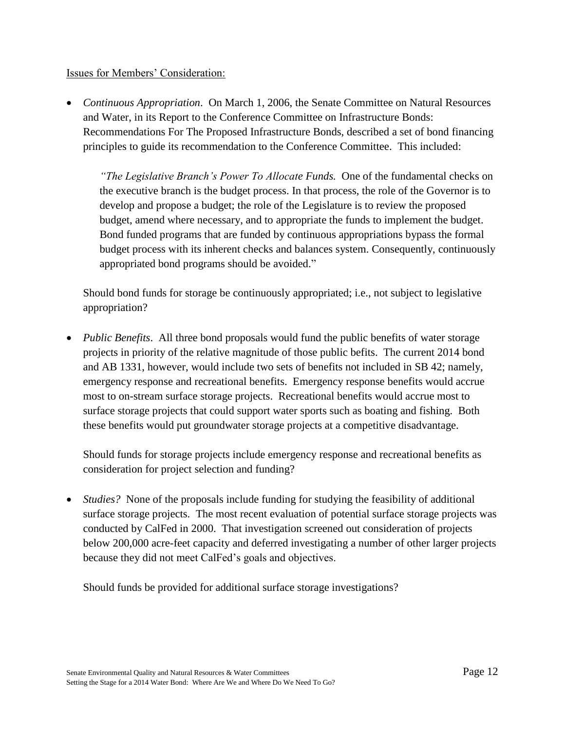#### Issues for Members' Consideration:

 *Continuous Appropriation*. On March 1, 2006, the Senate Committee on Natural Resources and Water, in its Report to the Conference Committee on Infrastructure Bonds: Recommendations For The Proposed Infrastructure Bonds, described a set of bond financing principles to guide its recommendation to the Conference Committee. This included:

*"The Legislative Branch's Power To Allocate Funds.* One of the fundamental checks on the executive branch is the budget process. In that process, the role of the Governor is to develop and propose a budget; the role of the Legislature is to review the proposed budget, amend where necessary, and to appropriate the funds to implement the budget. Bond funded programs that are funded by continuous appropriations bypass the formal budget process with its inherent checks and balances system. Consequently, continuously appropriated bond programs should be avoided."

Should bond funds for storage be continuously appropriated; i.e., not subject to legislative appropriation?

• *Public Benefits*. All three bond proposals would fund the public benefits of water storage projects in priority of the relative magnitude of those public befits. The current 2014 bond and AB 1331, however, would include two sets of benefits not included in SB 42; namely, emergency response and recreational benefits. Emergency response benefits would accrue most to on-stream surface storage projects. Recreational benefits would accrue most to surface storage projects that could support water sports such as boating and fishing. Both these benefits would put groundwater storage projects at a competitive disadvantage.

Should funds for storage projects include emergency response and recreational benefits as consideration for project selection and funding?

 *Studies?* None of the proposals include funding for studying the feasibility of additional surface storage projects. The most recent evaluation of potential surface storage projects was conducted by CalFed in 2000. That investigation screened out consideration of projects below 200,000 acre-feet capacity and deferred investigating a number of other larger projects because they did not meet CalFed's goals and objectives.

Should funds be provided for additional surface storage investigations?